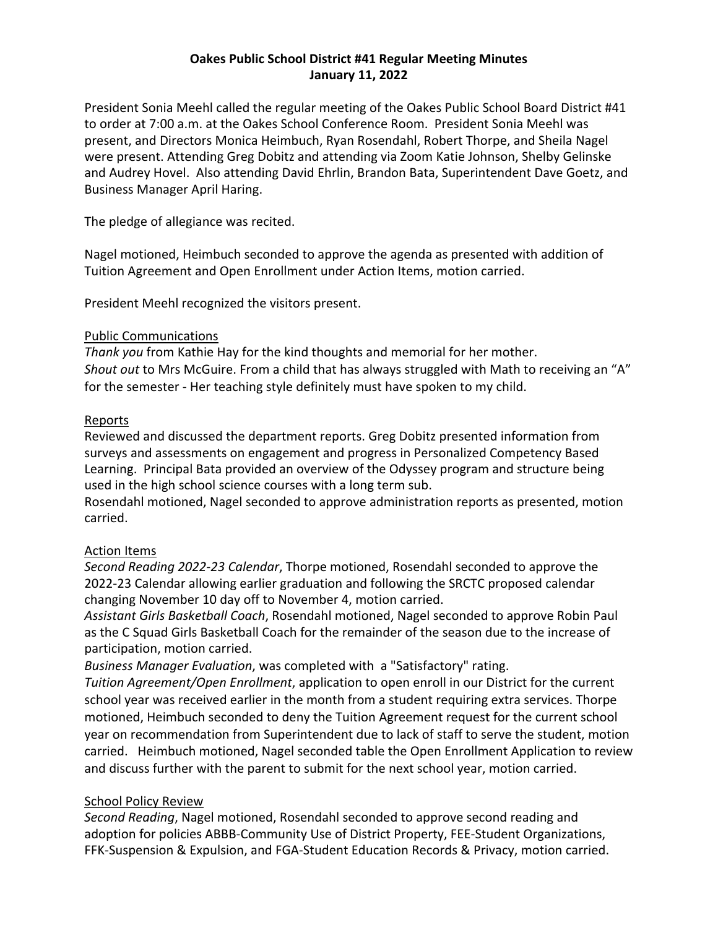## **Oakes Public School District #41 Regular Meeting Minutes January 11, 2022**

President Sonia Meehl called the regular meeting of the Oakes Public School Board District #41 to order at 7:00 a.m. at the Oakes School Conference Room. President Sonia Meehl was present, and Directors Monica Heimbuch, Ryan Rosendahl, Robert Thorpe, and Sheila Nagel were present. Attending Greg Dobitz and attending via Zoom Katie Johnson, Shelby Gelinske and Audrey Hovel. Also attending David Ehrlin, Brandon Bata, Superintendent Dave Goetz, and Business Manager April Haring.

The pledge of allegiance was recited.

Nagel motioned, Heimbuch seconded to approve the agenda as presented with addition of Tuition Agreement and Open Enrollment under Action Items, motion carried.

President Meehl recognized the visitors present.

## Public Communications

*Thank you* from Kathie Hay for the kind thoughts and memorial for her mother. *Shout out* to Mrs McGuire. From a child that has always struggled with Math to receiving an "A" for the semester - Her teaching style definitely must have spoken to my child.

## Reports

Reviewed and discussed the department reports. Greg Dobitz presented information from surveys and assessments on engagement and progress in Personalized Competency Based Learning. Principal Bata provided an overview of the Odyssey program and structure being used in the high school science courses with a long term sub.

Rosendahl motioned, Nagel seconded to approve administration reports as presented, motion carried.

# Action Items

*Second Reading 2022-23 Calendar*, Thorpe motioned, Rosendahl seconded to approve the 2022-23 Calendar allowing earlier graduation and following the SRCTC proposed calendar changing November 10 day off to November 4, motion carried.

*Assistant Girls Basketball Coach*, Rosendahl motioned, Nagel seconded to approve Robin Paul as the C Squad Girls Basketball Coach for the remainder of the season due to the increase of participation, motion carried.

*Business Manager Evaluation*, was completed with a "Satisfactory" rating.

*Tuition Agreement/Open Enrollment*, application to open enroll in our District for the current school year was received earlier in the month from a student requiring extra services. Thorpe motioned, Heimbuch seconded to deny the Tuition Agreement request for the current school year on recommendation from Superintendent due to lack of staff to serve the student, motion carried. Heimbuch motioned, Nagel seconded table the Open Enrollment Application to review and discuss further with the parent to submit for the next school year, motion carried.

# School Policy Review

*Second Reading*, Nagel motioned, Rosendahl seconded to approve second reading and adoption for policies ABBB-Community Use of District Property, FEE-Student Organizations, FFK-Suspension & Expulsion, and FGA-Student Education Records & Privacy, motion carried.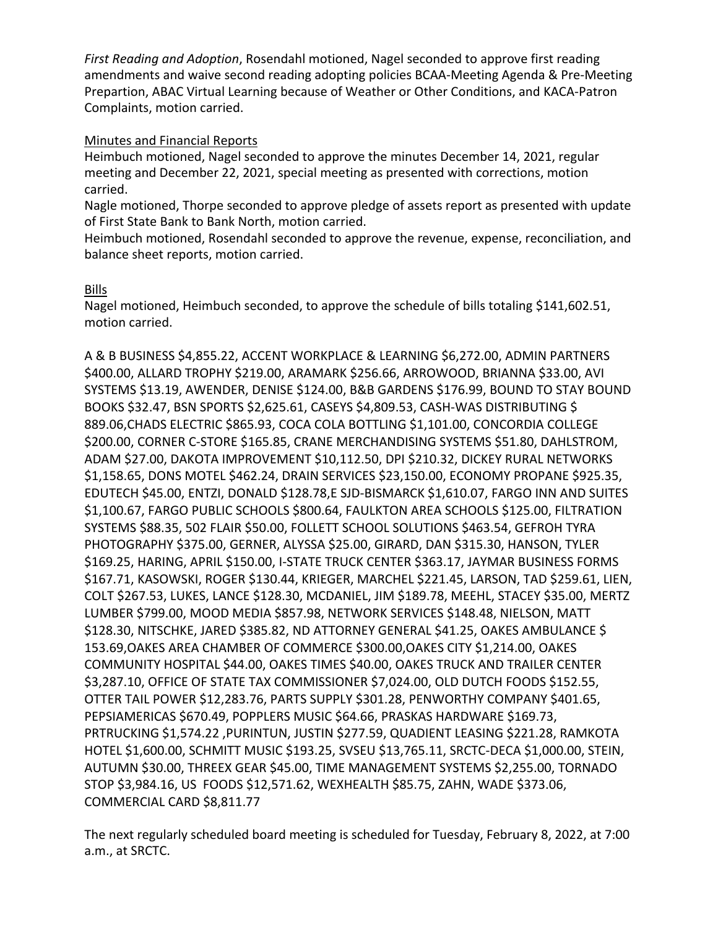*First Reading and Adoption*, Rosendahl motioned, Nagel seconded to approve first reading amendments and waive second reading adopting policies BCAA-Meeting Agenda & Pre-Meeting Prepartion, ABAC Virtual Learning because of Weather or Other Conditions, and KACA-Patron Complaints, motion carried.

#### Minutes and Financial Reports

Heimbuch motioned, Nagel seconded to approve the minutes December 14, 2021, regular meeting and December 22, 2021, special meeting as presented with corrections, motion carried.

Nagle motioned, Thorpe seconded to approve pledge of assets report as presented with update of First State Bank to Bank North, motion carried.

Heimbuch motioned, Rosendahl seconded to approve the revenue, expense, reconciliation, and balance sheet reports, motion carried.

## Bills

Nagel motioned, Heimbuch seconded, to approve the schedule of bills totaling \$141,602.51, motion carried.

A & B BUSINESS \$4,855.22, ACCENT WORKPLACE & LEARNING \$6,272.00, ADMIN PARTNERS \$400.00, ALLARD TROPHY \$219.00, ARAMARK \$256.66, ARROWOOD, BRIANNA \$33.00, AVI SYSTEMS \$13.19, AWENDER, DENISE \$124.00, B&B GARDENS \$176.99, BOUND TO STAY BOUND BOOKS \$32.47, BSN SPORTS \$2,625.61, CASEYS \$4,809.53, CASH-WAS DISTRIBUTING \$ 889.06,CHADS ELECTRIC \$865.93, COCA COLA BOTTLING \$1,101.00, CONCORDIA COLLEGE \$200.00, CORNER C-STORE \$165.85, CRANE MERCHANDISING SYSTEMS \$51.80, DAHLSTROM, ADAM \$27.00, DAKOTA IMPROVEMENT \$10,112.50, DPI \$210.32, DICKEY RURAL NETWORKS \$1,158.65, DONS MOTEL \$462.24, DRAIN SERVICES \$23,150.00, ECONOMY PROPANE \$925.35, EDUTECH \$45.00, ENTZI, DONALD \$128.78,E SJD-BISMARCK \$1,610.07, FARGO INN AND SUITES \$1,100.67, FARGO PUBLIC SCHOOLS \$800.64, FAULKTON AREA SCHOOLS \$125.00, FILTRATION SYSTEMS \$88.35, 502 FLAIR \$50.00, FOLLETT SCHOOL SOLUTIONS \$463.54, GEFROH TYRA PHOTOGRAPHY \$375.00, GERNER, ALYSSA \$25.00, GIRARD, DAN \$315.30, HANSON, TYLER \$169.25, HARING, APRIL \$150.00, I-STATE TRUCK CENTER \$363.17, JAYMAR BUSINESS FORMS \$167.71, KASOWSKI, ROGER \$130.44, KRIEGER, MARCHEL \$221.45, LARSON, TAD \$259.61, LIEN, COLT \$267.53, LUKES, LANCE \$128.30, MCDANIEL, JIM \$189.78, MEEHL, STACEY \$35.00, MERTZ LUMBER \$799.00, MOOD MEDIA \$857.98, NETWORK SERVICES \$148.48, NIELSON, MATT \$128.30, NITSCHKE, JARED \$385.82, ND ATTORNEY GENERAL \$41.25, OAKES AMBULANCE \$ 153.69,OAKES AREA CHAMBER OF COMMERCE \$300.00,OAKES CITY \$1,214.00, OAKES COMMUNITY HOSPITAL \$44.00, OAKES TIMES \$40.00, OAKES TRUCK AND TRAILER CENTER \$3,287.10, OFFICE OF STATE TAX COMMISSIONER \$7,024.00, OLD DUTCH FOODS \$152.55, OTTER TAIL POWER \$12,283.76, PARTS SUPPLY \$301.28, PENWORTHY COMPANY \$401.65, PEPSIAMERICAS \$670.49, POPPLERS MUSIC \$64.66, PRASKAS HARDWARE \$169.73, PRTRUCKING \$1,574.22 ,PURINTUN, JUSTIN \$277.59, QUADIENT LEASING \$221.28, RAMKOTA HOTEL \$1,600.00, SCHMITT MUSIC \$193.25, SVSEU \$13,765.11, SRCTC-DECA \$1,000.00, STEIN, AUTUMN \$30.00, THREEX GEAR \$45.00, TIME MANAGEMENT SYSTEMS \$2,255.00, TORNADO STOP \$3,984.16, US FOODS \$12,571.62, WEXHEALTH \$85.75, ZAHN, WADE \$373.06, COMMERCIAL CARD \$8,811.77

The next regularly scheduled board meeting is scheduled for Tuesday, February 8, 2022, at 7:00 a.m., at SRCTC.